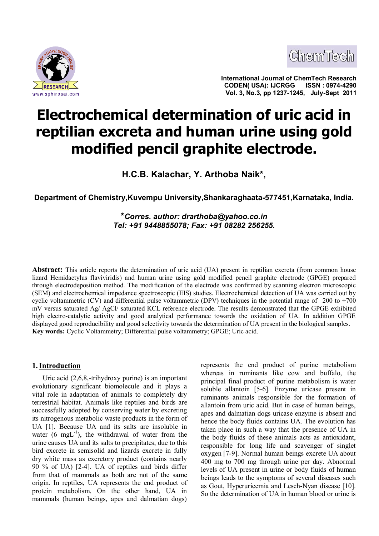



**International Journal of ChemTech Research CODEN( USA): IJCRGG ISSN : 0974-4290 Vol. 3, No.3, pp 1237-1245, July-Sept 2011**

# **Electrochemical determination of uric acid in reptilian excreta and human urine using gold modified pencil graphite electrode.**

**H.C.B. Kalachar, Y. Arthoba Naik\*,**

**Department of Chemistry,Kuvempu University,Shankaraghaata-577451,Karnataka, India.**

**\****Corres. author: [drarthoba@yahoo.co.in](mailto:drarthoba@yahoo.co.in) Tel: +91 9448855078; Fax: +91 08282 256255.*

**Abstract:** This article reports the determination of uric acid (UA) present in reptilian excreta (from common house lizard Hemidactylus flaviviridis) and human urine using gold modified pencil graphite electrode (GPGE) prepared through electrodeposition method. The modification of the electrode was confirmed by scanning electron microscopic (SEM) and electrochemical impedance spectroscopic (EIS) studies. Electrochemical detection of UA was carried out by cyclic voltammetric (CV) and differential pulse voltammetric (DPV) techniques in the potential range of –200 to +700 mV versus saturated Ag/ AgCl/ saturated KCL reference electrode. The results demonstrated that the GPGE exhibited high electro-catalytic activity and good analytical performance towards the oxidation of UA. In addition GPGE displayed good reproducibility and good selectivity towards the determination of UA present in the biological samples. **Key words:** Cyclic Voltammetry; Differential pulse voltammetry; GPGE; Uric acid.

## **1.Introduction**

Uric acid (2,6,8,-trihydroxy purine) is an important evolutionary significant biomolecule and it plays a vital role in adaptation of animals to completely dry terrestrial habitat. Animals like reptiles and birds are successfully adopted by conserving water by excreting its nitrogenous metabolic waste products in the form of UA [1]. Because UA and its salts are insoluble in water  $(6 \text{ mgL}^{-1})$ , the withdrawal of water from the urine causes UA and its salts to precipitates, due to this bird excrete in semisolid and lizards excrete in fully dry white mass as excretory product (contains nearly 90 % of UA) [2-4]. UA of reptiles and birds differ from that of mammals as both are not of the same origin. In reptiles, UA represents the end product of protein metabolism. On the other hand, UA in mammals (human beings, apes and dalmatian dogs)

represents the end product of purine metabolism whereas in ruminants like cow and buffalo, the principal final product of purine metabolism is water soluble allantoin [5-6]. Enzyme uricase present in ruminants animals responsible for the formation of allantoin from uric acid. But in case of human beings, apes and dalmatian dogs uricase enzyme is absent and hence the body fluids contains UA. The evolution has taken place in such a way that the presence of UA in the body fluids of these animals acts as antioxidant, responsible for long life and scavenger of singlet oxygen [7-9]. Normal human beings excrete UA about 400 mg to 700 mg through urine per day. Abnormal levels of UA present in urine or body fluids of human beings leads to the symptoms of several diseases such as Gout, Hyperuricemia and Lesch-Nyan disease [10]. So the determination of UA in human blood or urine is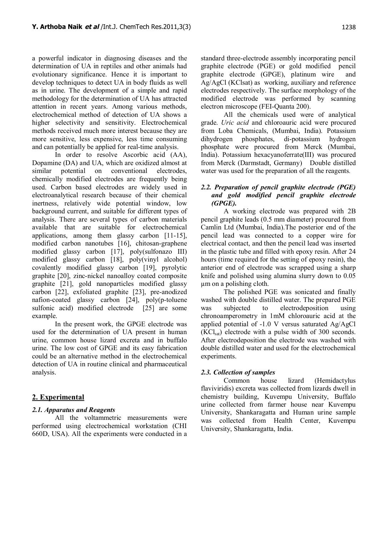a powerful indicator in diagnosing diseases and the determination of UA in reptiles and other animals had evolutionary significance. Hence it is important to develop techniques to detect UA in body fluids as well as in urine. The development of a simple and rapid methodology for the determination of UA has attracted attention in recent years. Among various methods, electrochemical method of detection of UA shows a higher selectivity and sensitivity. Electrochemical methods received much more interest because they are more sensitive, less expensive, less time consuming and can potentially be applied for real-time analysis.

In order to resolve Ascorbic acid (AA), Dopamine (DA) and UA, which are oxidized almost at similar potential on conventional electrodes, chemically modified electrodes are frequently being used. Carbon based electrodes are widely used in electroanalytical research because of their chemical inertness, relatively wide potential window, low background current, and suitable for different types of analysis. There are several types of carbon materials available that are suitable for electrochemical applications, among them glassy carbon [11-15], modified carbon nanotubes [16], chitosan-graphene modified glassy carbon [17], poly(sulfonazo III) modified glassy carbon [18], poly(vinyl alcohol) covalently modified glassy carbon [19], pyrolytic graphite [20], zinc-nickel nanoalloy coated composite graphite [21], gold nanoparticles modified glassy carbon [22], exfoliated graphite [23], pre-anodized nafion-coated glassy carbon [24], poly(p-toluene sulfonic acid) modified electrode [25] are some example.

In the present work, the GPGE electrode was used for the determination of UA present in human urine, common house lizard excreta and in buffalo urine. The low cost of GPGE and its easy fabrication could be an alternative method in the electrochemical detection of UA in routine clinical and pharmaceutical analysis.

# **2. Experimental**

## *2.1. Apparatus and Reagents*

All the voltammetric measurements were performed using electrochemical workstation (CHI 660D, USA). All the experiments were conducted in a standard three-electrode assembly incorporating pencil graphite electrode (PGE) or gold modified pencil graphite electrode (GPGE), platinum wire and Ag/AgCl (KClsat) as working, auxiliary and reference electrodes respectively. The surface morphology of the modified electrode was performed by scanning electron microscope (FEI-Quanta 200).

All the chemicals used were of analytical grade. *Uric acid* and chloroauric acid were procured from Loba Chemicals, (Mumbai, India). Potassium dihydrogen phosphates, di-potassium hydrogen phosphate were procured from Merck (Mumbai, India). Potassium hexacyanoferrate(III) was procured from Merck (Darmstadt, Germany) Double distilled water was used for the preparation of all the reagents*.*

# *2.2. Preparation of pencil graphite electrode (PGE) and gold modified pencil graphite electrode (GPGE).*

A working electrode was prepared with 2B pencil graphite leads (0.5 mm diameter) procured from Camlin Ltd (Mumbai, India).The posterior end of the pencil lead was connected to a copper wire for electrical contact, and then the pencil lead was inserted in the plastic tube and filled with epoxy resin. After 24 hours (time required for the setting of epoxy resin), the anterior end of electrode was scrapped using a sharp knife and polished using alumina slurry down to 0.05 µm on a polishing cloth.

The polished PGE was sonicated and finally washed with double distilled water. The prepared PGE was subjected to electrodeposition using chronoamperometry in 1mM chloroauric acid at the applied potential of -1.0 V versus saturated Ag/AgCl  $(KCl<sub>sat</sub>)$  electrode with a pulse width of 300 seconds. After electrodeposition the electrode was washed with double distilled water and used for the electrochemical experiments.

## *2.3. Collection of samples*

Common house lizard (Hemidactylus flaviviridis) excreta was collected from lizards dwell in chemistry building, Kuvempu University, Buffalo urine collected from farmer house near Kuvempu University, Shankaragatta and Human urine sample was collected from Health Center, Kuvempu University, Shankaragatta, India.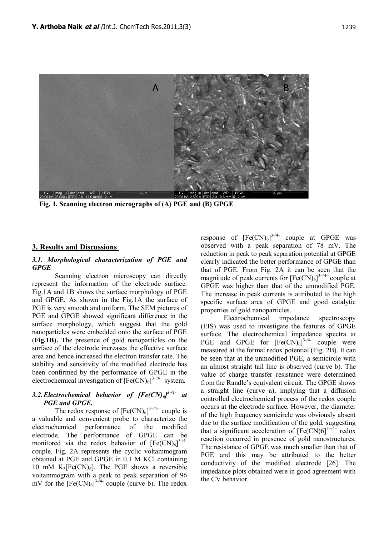

 **Fig. 1. Scanning electron micrographs of (A) PGE and (B) GPGE**

# **3. Results and Discussions**

#### *3.1. Morphological characterization of PGE and GPGE*

Scanning electron microscopy can directly represent the information of the electrode surface. Fig.1A and 1B shows the surface morphology of PGE and GPGE. As shown in the Fig.1A the surface of PGE is very smooth and uniform. The SEM pictures of PGE and GPGE showed significant difference in the surface morphology, which suggest that the gold nanoparticles were embedded onto the surface of PGE (**Fig.1B).** The presence of gold nanoparticles on the surface of the electrode increases the effective surface area and hence increased the electron transfer rate. The stability and sensitivity of the modified electrode has been confirmed by the performance of GPGE in the electrochemical investigation of  $[Fe(CN)_6]^{3-/4-}$  system.

# *3.2.Electrochemical behavior of [Fe(CN)6] 3-/4- at PGE and GPGE.*

The redox response of  $[Fe(CN)_6]^{3-/4-}$  couple is a valuable and convenient probe to characterize the electrochemical performance of the modified electrode. The performance of GPGE can be monitored via the redox behavior of  $[Fe(CN)_6]^{3-/4-}$ couple. Fig. 2A represents the cyclic voltammogram obtained at PGE and GPGE in 0.1 M KCl containing 10 mM  $K_3[Fe(CN)_6]$ . The PGE shows a reversible voltammogram with a peak to peak separation of 96 mV for the  $[Fe(CN)_6]^{3-74}$ - couple (curve b). The redox

response of  $[Fe(CN)_6]^{3/4}$  couple at GPGE was observed with a peak separation of 78 mV. The reduction in peak to peak separation potential at GPGE clearly indicated the better performance of GPGE than that of PGE. From Fig. 2A it can be seen that the magnitude of peak currents for  $[Fe(CN)_6]^{3-/4-}$  couple at GPGE was higher than that of the unmodified PGE. The increase in peak currents is attributed to the high specific surface area of GPGE and good catalytic properties of gold nanoparticles.

Electrochemical impedance spectroscopy (EIS) was used to investigate the features of GPGE surface. The electrochemical impedance spectra at PGE and GPGE for  $[Fe(CN)_6]^{3-/4-}$  couple were measured at the formal redox potential (Fig. 2B). It can be seen that at the unmodified PGE, a semicircle with an almost straight tail line is observed (curve b). The value of charge transfer resistance were determined from the Randle's equivalent circuit. The GPGE shows a straight line (curve a), implying that a diffusion controlled electrochemical process of the redox couple occurs at the electrode surface. However, the diameter of the high frequency semicircle was obviously absent due to the surface modification of the gold, suggesting that a significant acceleration of  $[Fe(CN)6]^{3-\sqrt{4-\epsilon}}$  redox reaction occurred in presence of gold nanostructures. The resistance of GPGE was much smaller than that of PGE and this may be attributed to the better conductivity of the modified electrode [26]. The impedance plots obtained were in good agreement with the CV behavior.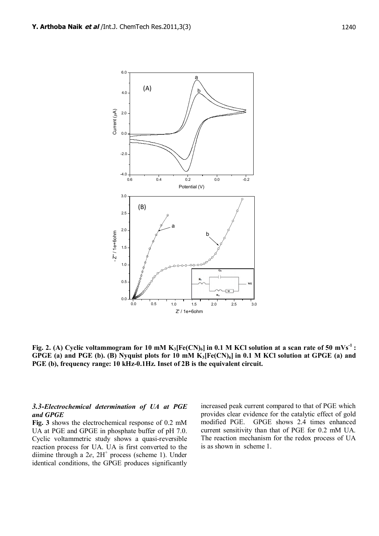

**Fig. 2.** (A) Cyclic voltammogram for 10 mM  $K_3$ **[Fe(CN)**<sup>6</sup>] in 0.1 M KCl solution at a scan rate of 50 mVs<sup>-1</sup> **: GPGE (a) and PGE (b). (B) Nyquist plots for 10 mM K3[Fe(CN)6] in 0.1 M KCl solution at GPGE (a) and PGE (b), frequency range: 10 kHz-0.1Hz. Inset of 2B is the equivalent circuit.**

#### *3.3-Electrochemical determination of UA at PGE and GPGE*

**Fig. 3** shows the electrochemical response of 0.2 mM UA at PGE and GPGE in phosphate buffer of pH 7.0. Cyclic voltammetric study shows a quasi-reversible reaction process for UA. UA is first converted to the diimine through a 2e, 2H<sup>+</sup> process (scheme 1). Under identical conditions, the GPGE produces significantly

increased peak current compared to that of PGE which provides clear evidence for the catalytic effect of gold modified PGE. GPGE shows 2.4 times enhanced current sensitivity than that of PGE for 0.2 mM UA. The reaction mechanism for the redox process of UA is as shown in scheme 1.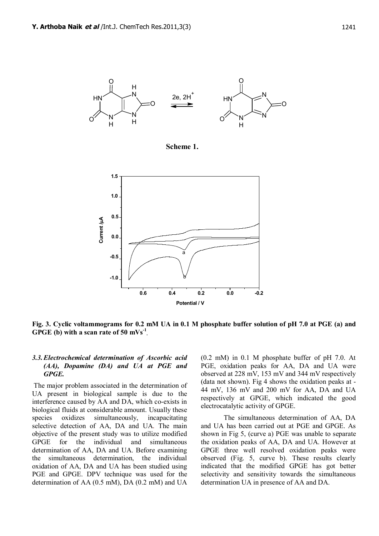

 **Scheme 1.**



**Fig. 3. Cyclic voltammograms for 0.2 mM UA in 0.1 M phosphate buffer solution of pH 7.0 at PGE (a) and GPGE (b) with a scan rate of 50 mVs-1 .**

#### *3.3.Electrochemical determination of Ascorbic acid (AA), Dopamine (DA) and UA at PGE and GPGE.*

 The major problem associated in the determination of UA present in biological sample is due to the interference caused by AA and DA, which co-exists in biological fluids at considerable amount. Usually these species oxidizes simultaneously, incapacitating selective detection of AA, DA and UA. The main objective of the present study was to utilize modified GPGE for the individual and simultaneous determination of AA, DA and UA. Before examining the simultaneous determination, the individual oxidation of AA, DA and UA has been studied using PGE and GPGE. DPV technique was used for the determination of AA (0.5 mM), DA (0.2 mM) and UA

(0.2 mM) in 0.1 M phosphate buffer of pH 7.0. At PGE, oxidation peaks for AA, DA and UA were observed at 228 mV, 153 mV and 344 mV respectively (data not shown). Fig 4 shows the oxidation peaks at - 44 mV, 136 mV and 200 mV for AA, DA and UA respectively at GPGE, which indicated the good electrocatalytic activity of GPGE.

The simultaneous determination of AA, DA and UA has been carried out at PGE and GPGE. As shown in Fig 5, (curve a) PGE was unable to separate the oxidation peaks of AA, DA and UA. However at GPGE three well resolved oxidation peaks were observed (Fig. 5, curve b). These results clearly indicated that the modified GPGE has got better selectivity and sensitivity towards the simultaneous determination UA in presence of AA and DA.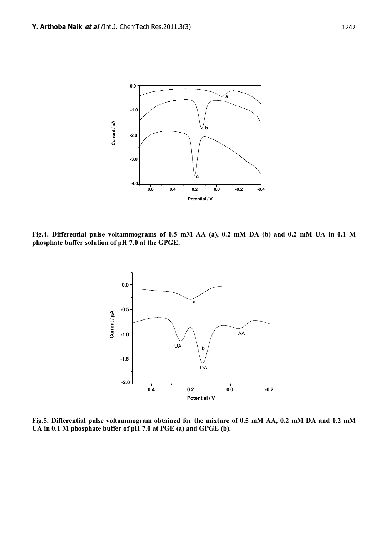

**Fig.4. Differential pulse voltammograms of 0.5 mM AA (a), 0.2 mM DA (b) and 0.2 mM UA in 0.1 M phosphate buffer solution of pH 7.0 at the GPGE.**



**Fig.5. Differential pulse voltammogram obtained for the mixture of 0.5 mM AA, 0.2 mM DA and 0.2 mM UA in 0.1 M phosphate buffer of pH 7.0 at PGE (a) and GPGE (b).**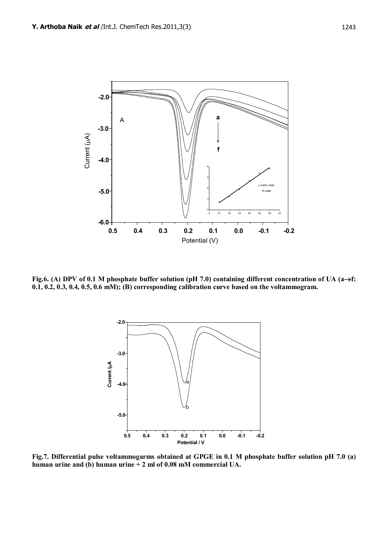

Fig.6. (A) DPV of 0.1 M phosphate buffer solution (pH 7.0) containing different concentration of UA (a $\rightarrow$ f: **0.1, 0.2, 0.3, 0.4, 0.5, 0.6 mM); (B) corresponding calibration curve based on the voltammogram.**



**Fig.7. Differential pulse voltammogarms obtained at GPGE in 0.1 M phosphate buffer solution pH 7.0 (a) human urine and (b) human urine + 2 ml of 0.08 mM commercial UA.**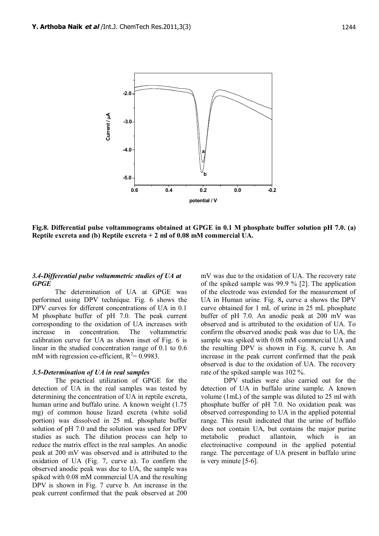

**Fig.8. Differential pulse voltammograms obtained at GPGE in 0.1 M phosphate buffer solution pH 7.0. (a) Reptile excreta and (b) Reptile excreta + 2 ml of 0.08 mM commercial UA.**

#### *3.4-Differential pulse voltammetric studies of UA at GPGE*

The determination of UA at GPGE was performed using DPV technique. Fig. 6 shows the DPV curves for different concentrations of UA in 0.1 M phosphate buffer of pH 7.0. The peak current corresponding to the oxidation of UA increases with increase in concentration. The voltammetric calibration curve for UA as shown inset of Fig. 6 is linear in the studied concentration range of 0.1 to 0.6 mM with regression co-efficient,  $R^2 = 0.9983$ .

#### *3.5-Determination of UA in real samples*

The practical utilization of GPGE for the detection of UA in the real samples was tested by determining the concentration of UA in reptile excreta, human urine and buffalo urine. A known weight (1.75 mg) of common house lizard excreta (white solid portion) was dissolved in 25 mL phosphate buffer solution of pH 7.0 and the solution was used for DPV studies as such. The dilution process can help to reduce the matrix effect in the real samples. An anodic peak at 200 mV was observed and is attributed to the oxidation of UA (Fig. 7, curve a). To confirm the observed anodic peak was due to UA, the sample was spiked with 0.08 mM commercial UA and the resulting DPV is shown in Fig. 7 curve b. An increase in the peak current confirmed that the peak observed at 200

mV was due to the oxidation of UA. The recovery rate of the spiked sample was 99.9 % [2]. The application of the electrode was extended for the measurement of UA in Human urine. Fig. 8**,** curve a shows the DPV curve obtained for 1 mL of urine in 25 mL phosphate buffer of pH 7.0. An anodic peak at 200 mV was observed and is attributed to the oxidation of UA. To confirm the observed anodic peak was due to UA, the sample was spiked with 0.08 mM commercial UA and the resulting DPV is shown in Fig. 8, curve b. An increase in the peak current confirmed that the peak observed is due to the oxidation of UA. The recovery rate of the spiked sample was 102 %.

DPV studies were also carried out for the detection of UA in buffalo urine sample. A known volume (1mL) of the sample was diluted to 25 ml with phosphate buffer of pH 7.0. No oxidation peak was observed corresponding to UA in the applied potential range. This result indicated that the urine of buffalo does not contain UA, but contains the major purine metabolic product allantoin, which is an electroinactive compound in the applied potential range. The percentage of UA present in buffalo urine is very minute [5-6].